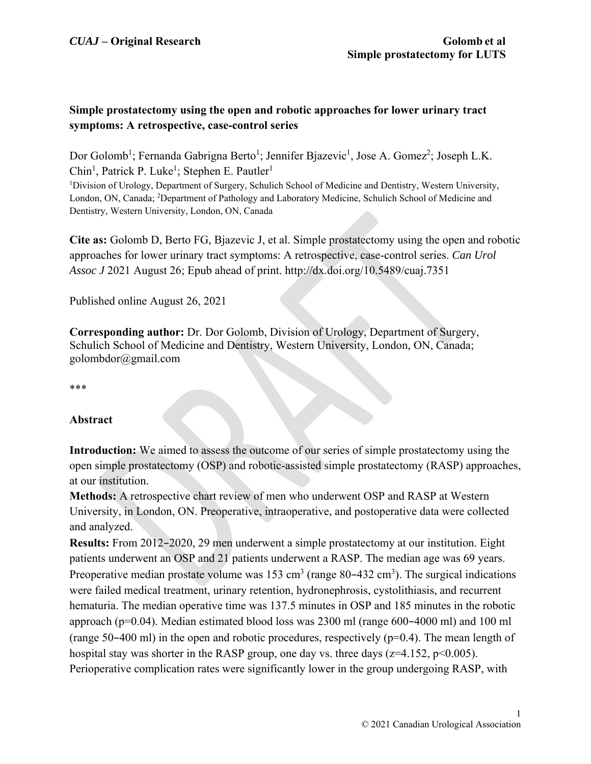# **Simple prostatectomy using the open and robotic approaches for lower urinary tract symptoms: A retrospective, case-control series**

Dor Golomb<sup>1</sup>; Fernanda Gabrigna Berto<sup>1</sup>; Jennifer Bjazevic<sup>1</sup>, Jose A. Gomez<sup>2</sup>; Joseph L.K. Chin<sup>1</sup>, Patrick P. Luke<sup>1</sup>; Stephen E. Pautler<sup>1</sup> <sup>1</sup>Division of Urology, Department of Surgery, Schulich School of Medicine and Dentistry, Western University,

London, ON, Canada; <sup>2</sup>Department of Pathology and Laboratory Medicine, Schulich School of Medicine and Dentistry, Western University, London, ON, Canada

**Cite as:** Golomb D, Berto FG, Bjazevic J, et al. Simple prostatectomy using the open and robotic approaches for lower urinary tract symptoms: A retrospective, case-control series. *Can Urol Assoc J* 2021 August 26; Epub ahead of print. http://dx.doi.org/10.5489/cuaj.7351

Published online August 26, 2021

**Corresponding author:** Dr. Dor Golomb, Division of Urology, Department of Surgery, Schulich School of Medicine and Dentistry, Western University, London, ON, Canada; golombdor@gmail.com

\*\*\*

## **Abstract**

**Introduction:** We aimed to assess the outcome of our series of simple prostatectomy using the open simple prostatectomy (OSP) and robotic-assisted simple prostatectomy (RASP) approaches, at our institution.

**Methods:** A retrospective chart review of men who underwent OSP and RASP at Western University, in London, ON. Preoperative, intraoperative, and postoperative data were collected and analyzed.

**Results:** From 2012–2020, 29 men underwent a simple prostatectomy at our institution. Eight patients underwent an OSP and 21 patients underwent a RASP. The median age was 69 years. Preoperative median prostate volume was  $153 \text{ cm}^3$  (range  $80-432 \text{ cm}^3$ ). The surgical indications were failed medical treatment, urinary retention, hydronephrosis, cystolithiasis, and recurrent hematuria. The median operative time was 137.5 minutes in OSP and 185 minutes in the robotic approach (p=0.04). Median estimated blood loss was 2300 ml (range 600–4000 ml) and 100 ml (range 50–400 ml) in the open and robotic procedures, respectively ( $p=0.4$ ). The mean length of hospital stay was shorter in the RASP group, one day vs. three days ( $z=4.152$ ,  $p<0.005$ ). Perioperative complication rates were significantly lower in the group undergoing RASP, with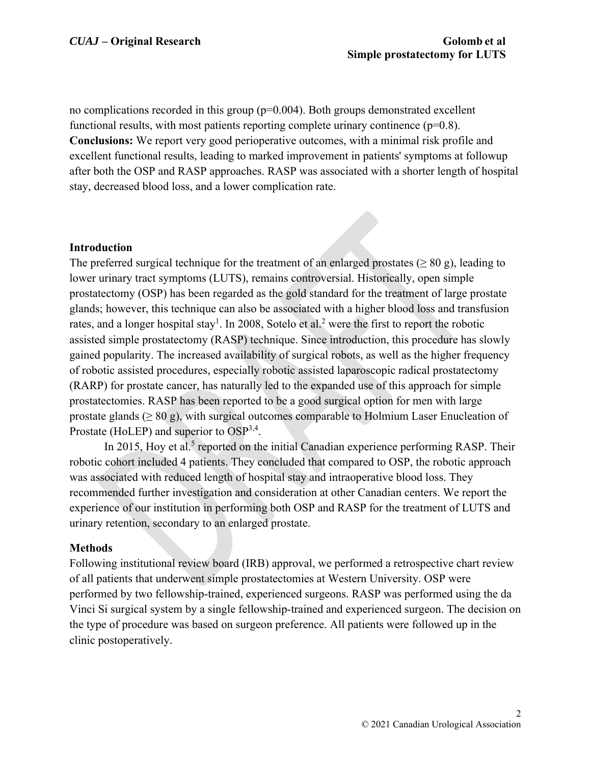no complications recorded in this group  $(p=0.004)$ . Both groups demonstrated excellent functional results, with most patients reporting complete urinary continence  $(p=0.8)$ . **Conclusions:** We report very good perioperative outcomes, with a minimal risk profile and excellent functional results, leading to marked improvement in patients' symptoms at followup after both the OSP and RASP approaches. RASP was associated with a shorter length of hospital stay, decreased blood loss, and a lower complication rate.

#### **Introduction**

The preferred surgical technique for the treatment of an enlarged prostates ( $\geq 80$  g), leading to lower urinary tract symptoms (LUTS), remains controversial. Historically, open simple prostatectomy (OSP) has been regarded as the gold standard for the treatment of large prostate glands; however, this technique can also be associated with a higher blood loss and transfusion rates, and a longer hospital stay<sup>1</sup>. In 2008, Sotelo et al.<sup>2</sup> were the first to report the robotic assisted simple prostatectomy (RASP) technique. Since introduction, this procedure has slowly gained popularity. The increased availability of surgical robots, as well as the higher frequency of robotic assisted procedures, especially robotic assisted laparoscopic radical prostatectomy (RARP) for prostate cancer, has naturally led to the expanded use of this approach for simple prostatectomies. RASP has been reported to be a good surgical option for men with large prostate glands ( $\geq 80$  g), with surgical outcomes comparable to Holmium Laser Enucleation of Prostate (HoLEP) and superior to OSP<sup>3,4</sup>.

In 2015, Hoy et al.<sup>5</sup> reported on the initial Canadian experience performing RASP. Their robotic cohort included 4 patients. They concluded that compared to OSP, the robotic approach was associated with reduced length of hospital stay and intraoperative blood loss. They recommended further investigation and consideration at other Canadian centers. We report the experience of our institution in performing both OSP and RASP for the treatment of LUTS and urinary retention, secondary to an enlarged prostate.

#### **Methods**

Following institutional review board (IRB) approval, we performed a retrospective chart review of all patients that underwent simple prostatectomies at Western University. OSP were performed by two fellowship-trained, experienced surgeons. RASP was performed using the da Vinci Si surgical system by a single fellowship-trained and experienced surgeon. The decision on the type of procedure was based on surgeon preference. All patients were followed up in the clinic postoperatively.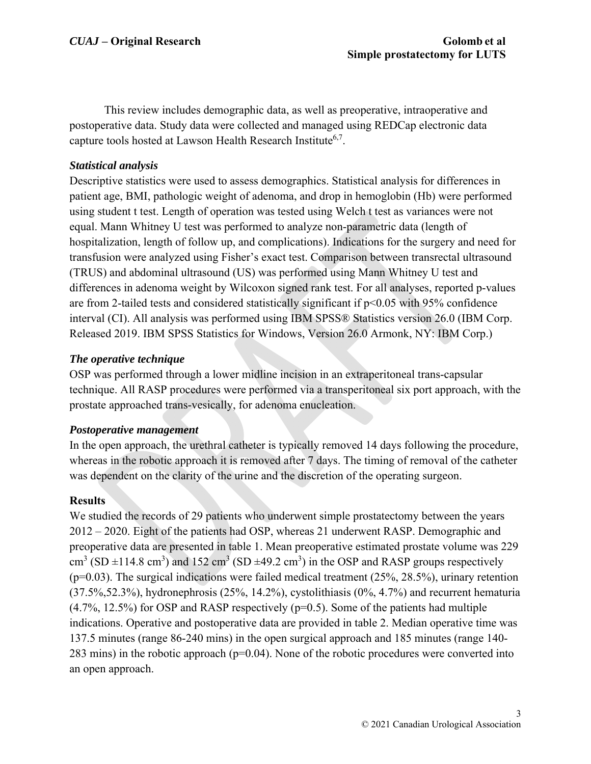This review includes demographic data, as well as preoperative, intraoperative and postoperative data. Study data were collected and managed using REDCap electronic data capture tools hosted at Lawson Health Research Institute<sup>6,7</sup>.

## *Statistical analysis*

Descriptive statistics were used to assess demographics. Statistical analysis for differences in patient age, BMI, pathologic weight of adenoma, and drop in hemoglobin (Hb) were performed using student t test. Length of operation was tested using Welch t test as variances were not equal. Mann Whitney U test was performed to analyze non-parametric data (length of hospitalization, length of follow up, and complications). Indications for the surgery and need for transfusion were analyzed using Fisher's exact test. Comparison between transrectal ultrasound (TRUS) and abdominal ultrasound (US) was performed using Mann Whitney U test and differences in adenoma weight by Wilcoxon signed rank test. For all analyses, reported p-values are from 2-tailed tests and considered statistically significant if  $p<0.05$  with 95% confidence interval (CI). All analysis was performed using IBM SPSS® Statistics version 26.0 (IBM Corp. Released 2019. IBM SPSS Statistics for Windows, Version 26.0 Armonk, NY: IBM Corp.)

# *The operative technique*

OSP was performed through a lower midline incision in an extraperitoneal trans-capsular technique. All RASP procedures were performed via a transperitoneal six port approach, with the prostate approached trans-vesically, for adenoma enucleation.

## *Postoperative management*

In the open approach, the urethral catheter is typically removed 14 days following the procedure, whereas in the robotic approach it is removed after 7 days. The timing of removal of the catheter was dependent on the clarity of the urine and the discretion of the operating surgeon.

## **Results**

We studied the records of 29 patients who underwent simple prostatectomy between the years 2012 – 2020. Eight of the patients had OSP, whereas 21 underwent RASP. Demographic and preoperative data are presented in table 1. Mean preoperative estimated prostate volume was 229 cm<sup>3</sup> (SD  $\pm$ 114.8 cm<sup>3</sup>) and 152 cm<sup>3</sup> (SD  $\pm$ 49.2 cm<sup>3</sup>) in the OSP and RASP groups respectively  $(p=0.03)$ . The surgical indications were failed medical treatment  $(25\%, 28.5\%)$ , urinary retention (37.5%,52.3%), hydronephrosis (25%, 14.2%), cystolithiasis (0%, 4.7%) and recurrent hematuria  $(4.7\%, 12.5\%)$  for OSP and RASP respectively ( $p=0.5$ ). Some of the patients had multiple indications. Operative and postoperative data are provided in table 2. Median operative time was 137.5 minutes (range 86-240 mins) in the open surgical approach and 185 minutes (range 140- 283 mins) in the robotic approach ( $p=0.04$ ). None of the robotic procedures were converted into an open approach.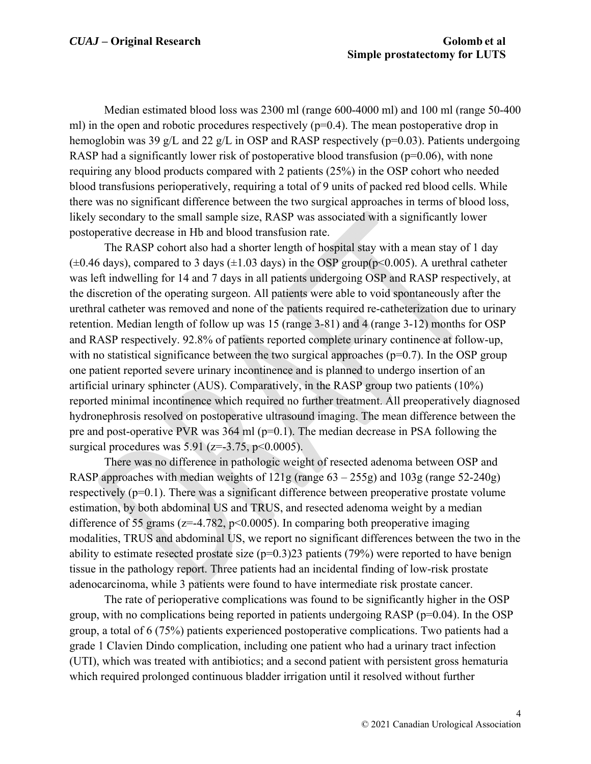Median estimated blood loss was 2300 ml (range 600-4000 ml) and 100 ml (range 50-400 ml) in the open and robotic procedures respectively  $(p=0.4)$ . The mean postoperative drop in hemoglobin was 39 g/L and 22 g/L in OSP and RASP respectively ( $p=0.03$ ). Patients undergoing RASP had a significantly lower risk of postoperative blood transfusion ( $p=0.06$ ), with none requiring any blood products compared with 2 patients (25%) in the OSP cohort who needed blood transfusions perioperatively, requiring a total of 9 units of packed red blood cells. While there was no significant difference between the two surgical approaches in terms of blood loss, likely secondary to the small sample size, RASP was associated with a significantly lower postoperative decrease in Hb and blood transfusion rate.

The RASP cohort also had a shorter length of hospital stay with a mean stay of 1 day  $(\pm 0.46 \text{ days})$ , compared to 3 days  $(\pm 1.03 \text{ days})$  in the OSP group(p<0.005). A urethral catheter was left indwelling for 14 and 7 days in all patients undergoing OSP and RASP respectively, at the discretion of the operating surgeon. All patients were able to void spontaneously after the urethral catheter was removed and none of the patients required re-catheterization due to urinary retention. Median length of follow up was 15 (range 3-81) and 4 (range 3-12) months for OSP and RASP respectively. 92.8% of patients reported complete urinary continence at follow-up, with no statistical significance between the two surgical approaches ( $p=0.7$ ). In the OSP group one patient reported severe urinary incontinence and is planned to undergo insertion of an artificial urinary sphincter (AUS). Comparatively, in the RASP group two patients (10%) reported minimal incontinence which required no further treatment. All preoperatively diagnosed hydronephrosis resolved on postoperative ultrasound imaging. The mean difference between the pre and post-operative PVR was  $364 \text{ ml}$  (p=0.1). The median decrease in PSA following the surgical procedures was  $5.91$  ( $z=3.75$ ,  $p<0.0005$ ).

There was no difference in pathologic weight of resected adenoma between OSP and RASP approaches with median weights of  $121g$  (range  $63 - 255g$ ) and  $103g$  (range  $52-240g$ ) respectively  $(p=0.1)$ . There was a significant difference between preoperative prostate volume estimation, by both abdominal US and TRUS, and resected adenoma weight by a median difference of 55 grams ( $z=-4.782$ ,  $p<0.0005$ ). In comparing both preoperative imaging modalities, TRUS and abdominal US, we report no significant differences between the two in the ability to estimate resected prostate size  $(p=0.3)23$  patients (79%) were reported to have benign tissue in the pathology report. Three patients had an incidental finding of low-risk prostate adenocarcinoma, while 3 patients were found to have intermediate risk prostate cancer.

The rate of perioperative complications was found to be significantly higher in the OSP group, with no complications being reported in patients undergoing RASP ( $p=0.04$ ). In the OSP group, a total of 6 (75%) patients experienced postoperative complications. Two patients had a grade 1 Clavien Dindo complication, including one patient who had a urinary tract infection (UTI), which was treated with antibiotics; and a second patient with persistent gross hematuria which required prolonged continuous bladder irrigation until it resolved without further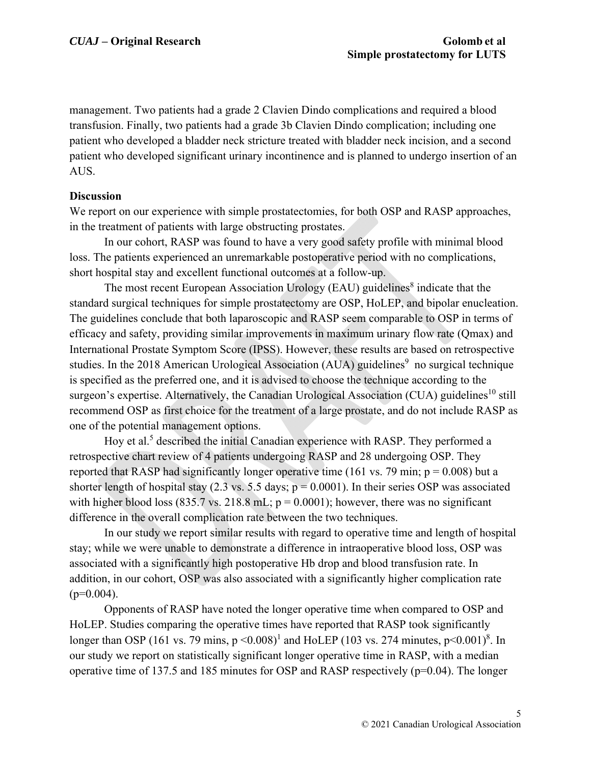management. Two patients had a grade 2 Clavien Dindo complications and required a blood transfusion. Finally, two patients had a grade 3b Clavien Dindo complication; including one patient who developed a bladder neck stricture treated with bladder neck incision, and a second patient who developed significant urinary incontinence and is planned to undergo insertion of an AUS.

# **Discussion**

We report on our experience with simple prostatectomies, for both OSP and RASP approaches, in the treatment of patients with large obstructing prostates.

In our cohort, RASP was found to have a very good safety profile with minimal blood loss. The patients experienced an unremarkable postoperative period with no complications, short hospital stay and excellent functional outcomes at a follow-up.

The most recent European Association Urology (EAU) guidelines<sup>8</sup> indicate that the standard surgical techniques for simple prostatectomy are OSP, HoLEP, and bipolar enucleation. The guidelines conclude that both laparoscopic and RASP seem comparable to OSP in terms of efficacy and safety, providing similar improvements in maximum urinary flow rate (Qmax) and International Prostate Symptom Score (IPSS). However, these results are based on retrospective studies. In the 2018 American Urological Association (AUA) guidelines<sup>9</sup> no surgical technique is specified as the preferred one, and it is advised to choose the technique according to the surgeon's expertise. Alternatively, the Canadian Urological Association (CUA) guidelines<sup>10</sup> still recommend OSP as first choice for the treatment of a large prostate, and do not include RASP as one of the potential management options.

Hoy et al.<sup>5</sup> described the initial Canadian experience with RASP. They performed a retrospective chart review of 4 patients undergoing RASP and 28 undergoing OSP. They reported that RASP had significantly longer operative time (161 vs. 79 min;  $p = 0.008$ ) but a shorter length of hospital stay (2.3 vs. 5.5 days;  $p = 0.0001$ ). In their series OSP was associated with higher blood loss (835.7 vs. 218.8 mL;  $p = 0.0001$ ); however, there was no significant difference in the overall complication rate between the two techniques.

In our study we report similar results with regard to operative time and length of hospital stay; while we were unable to demonstrate a difference in intraoperative blood loss, OSP was associated with a significantly high postoperative Hb drop and blood transfusion rate. In addition, in our cohort, OSP was also associated with a significantly higher complication rate  $(p=0.004)$ .

Opponents of RASP have noted the longer operative time when compared to OSP and HoLEP. Studies comparing the operative times have reported that RASP took significantly longer than OSP (161 vs. 79 mins,  $p \le 0.008$ )<sup>1</sup> and HoLEP (103 vs. 274 minutes,  $p \le 0.001$ )<sup>8</sup>. In our study we report on statistically significant longer operative time in RASP, with a median operative time of 137.5 and 185 minutes for OSP and RASP respectively (p=0.04). The longer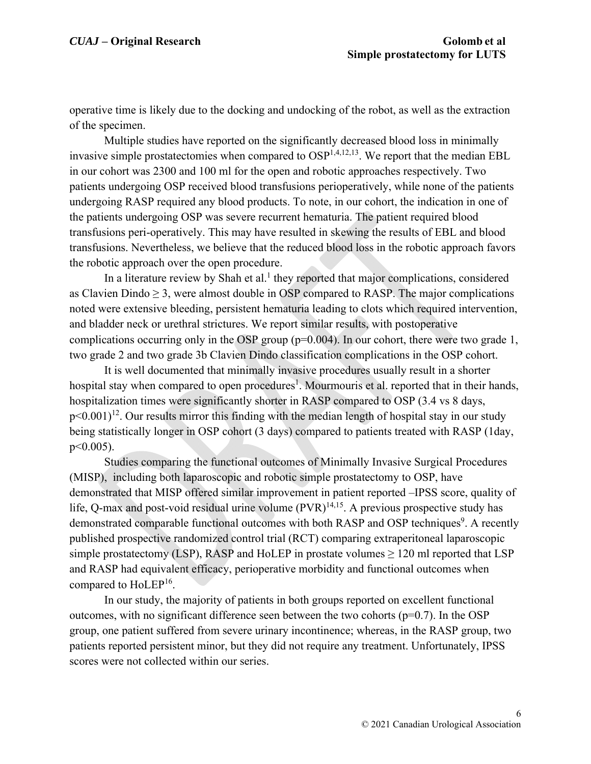operative time is likely due to the docking and undocking of the robot, as well as the extraction of the specimen.

Multiple studies have reported on the significantly decreased blood loss in minimally invasive simple prostatectomies when compared to  $OSP^{1,4,12,13}$ . We report that the median EBL in our cohort was 2300 and 100 ml for the open and robotic approaches respectively. Two patients undergoing OSP received blood transfusions perioperatively, while none of the patients undergoing RASP required any blood products. To note, in our cohort, the indication in one of the patients undergoing OSP was severe recurrent hematuria. The patient required blood transfusions peri-operatively. This may have resulted in skewing the results of EBL and blood transfusions. Nevertheless, we believe that the reduced blood loss in the robotic approach favors the robotic approach over the open procedure.

In a literature review by Shah et al.<sup>1</sup> they reported that major complications, considered as Clavien Dindo  $\geq 3$ , were almost double in OSP compared to RASP. The major complications noted were extensive bleeding, persistent hematuria leading to clots which required intervention, and bladder neck or urethral strictures. We report similar results, with postoperative complications occurring only in the OSP group  $(p=0.004)$ . In our cohort, there were two grade 1, two grade 2 and two grade 3b Clavien Dindo classification complications in the OSP cohort.

It is well documented that minimally invasive procedures usually result in a shorter hospital stay when compared to open procedures<sup>1</sup>. Mourmouris et al. reported that in their hands, hospitalization times were significantly shorter in RASP compared to OSP (3.4 vs 8 days,  $p<0.001$ <sup>12</sup>. Our results mirror this finding with the median length of hospital stay in our study being statistically longer in OSP cohort (3 days) compared to patients treated with RASP (1day, p<0.005).

Studies comparing the functional outcomes of Minimally Invasive Surgical Procedures (MISP), including both laparoscopic and robotic simple prostatectomy to OSP, have demonstrated that MISP offered similar improvement in patient reported –IPSS score, quality of life, Q-max and post-void residual urine volume  $(PVR)^{14,15}$ . A previous prospective study has demonstrated comparable functional outcomes with both RASP and OSP techniques<sup>9</sup>. A recently published prospective randomized control trial (RCT) comparing extraperitoneal laparoscopic simple prostatectomy (LSP), RASP and HoLEP in prostate volumes  $\geq 120$  ml reported that LSP and RASP had equivalent efficacy, perioperative morbidity and functional outcomes when compared to HoLEP16.

In our study, the majority of patients in both groups reported on excellent functional outcomes, with no significant difference seen between the two cohorts ( $p=0.7$ ). In the OSP group, one patient suffered from severe urinary incontinence; whereas, in the RASP group, two patients reported persistent minor, but they did not require any treatment. Unfortunately, IPSS scores were not collected within our series.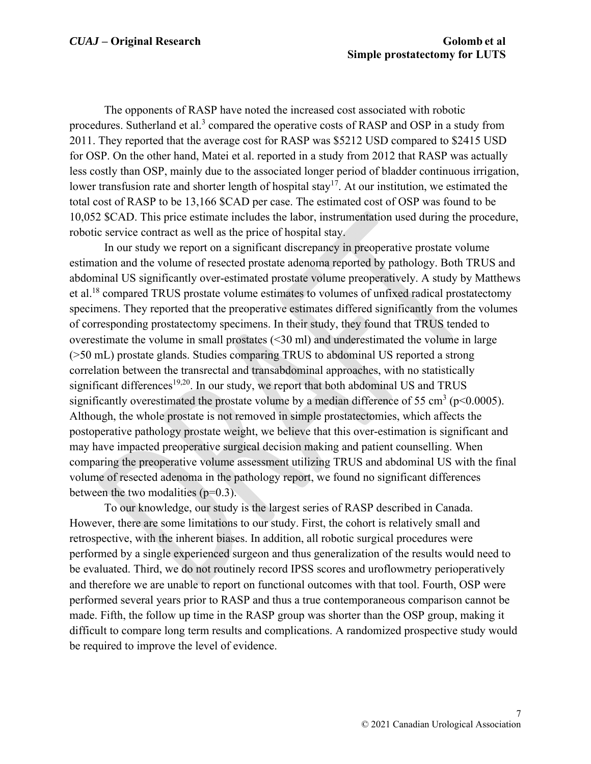The opponents of RASP have noted the increased cost associated with robotic procedures. Sutherland et al.<sup>3</sup> compared the operative costs of RASP and OSP in a study from 2011. They reported that the average cost for RASP was \$5212 USD compared to \$2415 USD for OSP. On the other hand, Matei et al. reported in a study from 2012 that RASP was actually less costly than OSP, mainly due to the associated longer period of bladder continuous irrigation, lower transfusion rate and shorter length of hospital stay<sup>17</sup>. At our institution, we estimated the total cost of RASP to be 13,166 \$CAD per case. The estimated cost of OSP was found to be 10,052 \$CAD. This price estimate includes the labor, instrumentation used during the procedure, robotic service contract as well as the price of hospital stay.

In our study we report on a significant discrepancy in preoperative prostate volume estimation and the volume of resected prostate adenoma reported by pathology. Both TRUS and abdominal US significantly over-estimated prostate volume preoperatively. A study by Matthews et al.18 compared TRUS prostate volume estimates to volumes of unfixed radical prostatectomy specimens. They reported that the preoperative estimates differed significantly from the volumes of corresponding prostatectomy specimens. In their study, they found that TRUS tended to overestimate the volume in small prostates (<30 ml) and underestimated the volume in large (>50 mL) prostate glands. Studies comparing TRUS to abdominal US reported a strong correlation between the transrectal and transabdominal approaches, with no statistically significant differences<sup>19,20</sup>. In our study, we report that both abdominal US and TRUS significantly overestimated the prostate volume by a median difference of 55 cm<sup>3</sup> ( $p$ <0.0005). Although, the whole prostate is not removed in simple prostatectomies, which affects the postoperative pathology prostate weight, we believe that this over-estimation is significant and may have impacted preoperative surgical decision making and patient counselling. When comparing the preoperative volume assessment utilizing TRUS and abdominal US with the final volume of resected adenoma in the pathology report, we found no significant differences between the two modalities  $(p=0.3)$ .

To our knowledge, our study is the largest series of RASP described in Canada. However, there are some limitations to our study. First, the cohort is relatively small and retrospective, with the inherent biases. In addition, all robotic surgical procedures were performed by a single experienced surgeon and thus generalization of the results would need to be evaluated. Third, we do not routinely record IPSS scores and uroflowmetry perioperatively and therefore we are unable to report on functional outcomes with that tool. Fourth, OSP were performed several years prior to RASP and thus a true contemporaneous comparison cannot be made. Fifth, the follow up time in the RASP group was shorter than the OSP group, making it difficult to compare long term results and complications. A randomized prospective study would be required to improve the level of evidence.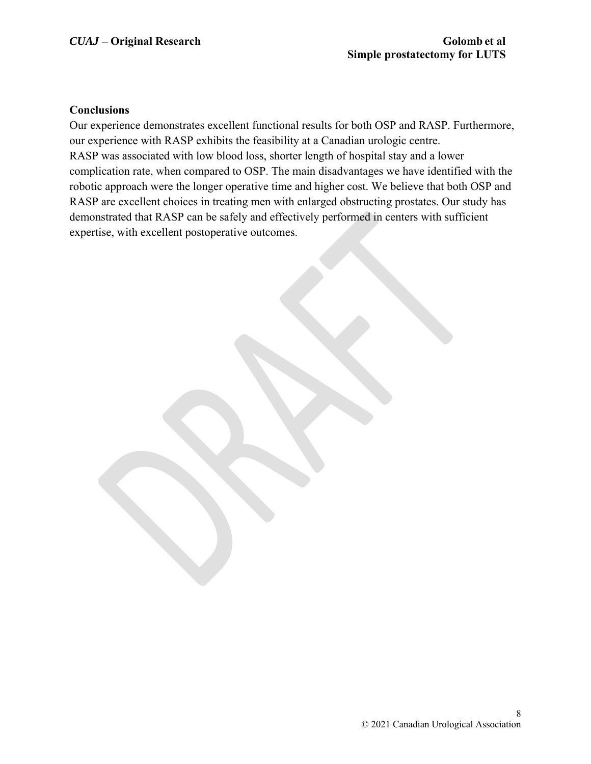#### **Conclusions**

Our experience demonstrates excellent functional results for both OSP and RASP. Furthermore, our experience with RASP exhibits the feasibility at a Canadian urologic centre. RASP was associated with low blood loss, shorter length of hospital stay and a lower complication rate, when compared to OSP. The main disadvantages we have identified with the robotic approach were the longer operative time and higher cost. We believe that both OSP and RASP are excellent choices in treating men with enlarged obstructing prostates. Our study has demonstrated that RASP can be safely and effectively performed in centers with sufficient expertise, with excellent postoperative outcomes.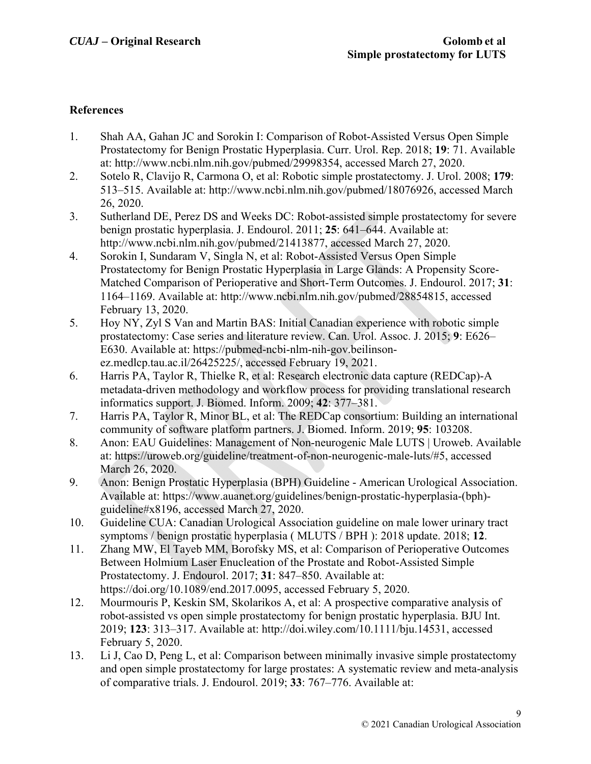#### **References**

- 1. Shah AA, Gahan JC and Sorokin I: Comparison of Robot-Assisted Versus Open Simple Prostatectomy for Benign Prostatic Hyperplasia. Curr. Urol. Rep. 2018; **19**: 71. Available at: http://www.ncbi.nlm.nih.gov/pubmed/29998354, accessed March 27, 2020.
- 2. Sotelo R, Clavijo R, Carmona O, et al: Robotic simple prostatectomy. J. Urol. 2008; **179**: 513–515. Available at: http://www.ncbi.nlm.nih.gov/pubmed/18076926, accessed March 26, 2020.
- 3. Sutherland DE, Perez DS and Weeks DC: Robot-assisted simple prostatectomy for severe benign prostatic hyperplasia. J. Endourol. 2011; **25**: 641–644. Available at: http://www.ncbi.nlm.nih.gov/pubmed/21413877, accessed March 27, 2020.
- 4. Sorokin I, Sundaram V, Singla N, et al: Robot-Assisted Versus Open Simple Prostatectomy for Benign Prostatic Hyperplasia in Large Glands: A Propensity Score-Matched Comparison of Perioperative and Short-Term Outcomes. J. Endourol. 2017; **31**: 1164–1169. Available at: http://www.ncbi.nlm.nih.gov/pubmed/28854815, accessed February 13, 2020.
- 5. Hoy NY, Zyl S Van and Martin BAS: Initial Canadian experience with robotic simple prostatectomy: Case series and literature review. Can. Urol. Assoc. J. 2015; **9**: E626– E630. Available at: https://pubmed-ncbi-nlm-nih-gov.beilinsonez.medlcp.tau.ac.il/26425225/, accessed February 19, 2021.
- 6. Harris PA, Taylor R, Thielke R, et al: Research electronic data capture (REDCap)-A metadata-driven methodology and workflow process for providing translational research informatics support. J. Biomed. Inform. 2009; **42**: 377–381.
- 7. Harris PA, Taylor R, Minor BL, et al: The REDCap consortium: Building an international community of software platform partners. J. Biomed. Inform. 2019; **95**: 103208.
- 8. Anon: EAU Guidelines: Management of Non-neurogenic Male LUTS | Uroweb. Available at: https://uroweb.org/guideline/treatment-of-non-neurogenic-male-luts/#5, accessed March 26, 2020.
- 9. Anon: Benign Prostatic Hyperplasia (BPH) Guideline American Urological Association. Available at: https://www.auanet.org/guidelines/benign-prostatic-hyperplasia-(bph) guideline#x8196, accessed March 27, 2020.
- 10. Guideline CUA: Canadian Urological Association guideline on male lower urinary tract symptoms / benign prostatic hyperplasia ( MLUTS / BPH ): 2018 update. 2018; **12**.
- 11. Zhang MW, El Tayeb MM, Borofsky MS, et al: Comparison of Perioperative Outcomes Between Holmium Laser Enucleation of the Prostate and Robot-Assisted Simple Prostatectomy. J. Endourol. 2017; **31**: 847–850. Available at: https://doi.org/10.1089/end.2017.0095, accessed February 5, 2020.
- 12. Mourmouris P, Keskin SM, Skolarikos A, et al: A prospective comparative analysis of robot-assisted vs open simple prostatectomy for benign prostatic hyperplasia. BJU Int. 2019; **123**: 313–317. Available at: http://doi.wiley.com/10.1111/bju.14531, accessed February 5, 2020.
- 13. Li J, Cao D, Peng L, et al: Comparison between minimally invasive simple prostatectomy and open simple prostatectomy for large prostates: A systematic review and meta-analysis of comparative trials. J. Endourol. 2019; **33**: 767–776. Available at: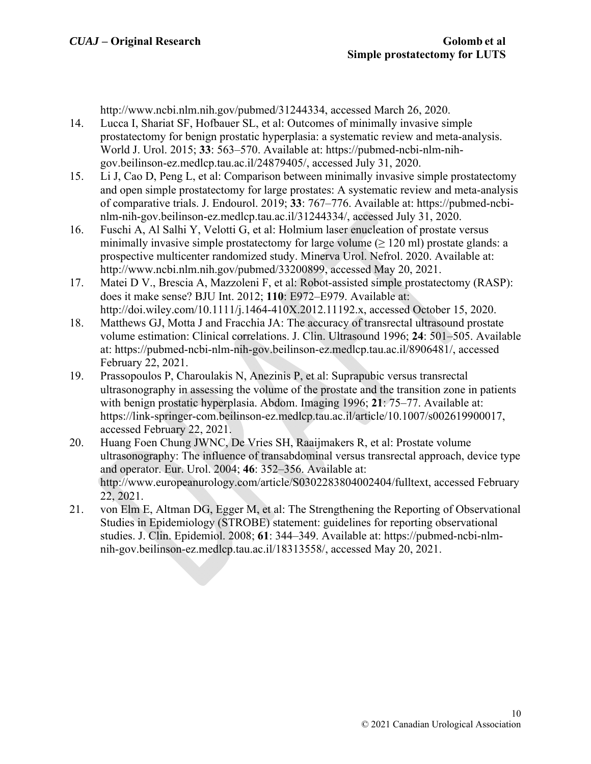http://www.ncbi.nlm.nih.gov/pubmed/31244334, accessed March 26, 2020.

- 14. Lucca I, Shariat SF, Hofbauer SL, et al: Outcomes of minimally invasive simple prostatectomy for benign prostatic hyperplasia: a systematic review and meta-analysis. World J. Urol. 2015; **33**: 563–570. Available at: https://pubmed-ncbi-nlm-nihgov.beilinson-ez.medlcp.tau.ac.il/24879405/, accessed July 31, 2020.
- 15. Li J, Cao D, Peng L, et al: Comparison between minimally invasive simple prostatectomy and open simple prostatectomy for large prostates: A systematic review and meta-analysis of comparative trials. J. Endourol. 2019; **33**: 767–776. Available at: https://pubmed-ncbinlm-nih-gov.beilinson-ez.medlcp.tau.ac.il/31244334/, accessed July 31, 2020.
- 16. Fuschi A, Al Salhi Y, Velotti G, et al: Holmium laser enucleation of prostate versus minimally invasive simple prostatectomy for large volume  $(\geq 120 \text{ ml})$  prostate glands: a prospective multicenter randomized study. Minerva Urol. Nefrol. 2020. Available at: http://www.ncbi.nlm.nih.gov/pubmed/33200899, accessed May 20, 2021.
- 17. Matei D V., Brescia A, Mazzoleni F, et al: Robot-assisted simple prostatectomy (RASP): does it make sense? BJU Int. 2012; **110**: E972–E979. Available at: http://doi.wiley.com/10.1111/j.1464-410X.2012.11192.x, accessed October 15, 2020.
- 18. Matthews GJ, Motta J and Fracchia JA: The accuracy of transrectal ultrasound prostate volume estimation: Clinical correlations. J. Clin. Ultrasound 1996; **24**: 501–505. Available at: https://pubmed-ncbi-nlm-nih-gov.beilinson-ez.medlcp.tau.ac.il/8906481/, accessed February 22, 2021.
- 19. Prassopoulos P, Charoulakis N, Anezinis P, et al: Suprapubic versus transrectal ultrasonography in assessing the volume of the prostate and the transition zone in patients with benign prostatic hyperplasia. Abdom. Imaging 1996; **21**: 75–77. Available at: https://link-springer-com.beilinson-ez.medlcp.tau.ac.il/article/10.1007/s002619900017, accessed February 22, 2021.
- 20. Huang Foen Chung JWNC, De Vries SH, Raaijmakers R, et al: Prostate volume ultrasonography: The influence of transabdominal versus transrectal approach, device type and operator. Eur. Urol. 2004; **46**: 352–356. Available at: http://www.europeanurology.com/article/S0302283804002404/fulltext, accessed February 22, 2021.
- 21. von Elm E, Altman DG, Egger M, et al: The Strengthening the Reporting of Observational Studies in Epidemiology (STROBE) statement: guidelines for reporting observational studies. J. Clin. Epidemiol. 2008; **61**: 344–349. Available at: https://pubmed-ncbi-nlmnih-gov.beilinson-ez.medlcp.tau.ac.il/18313558/, accessed May 20, 2021.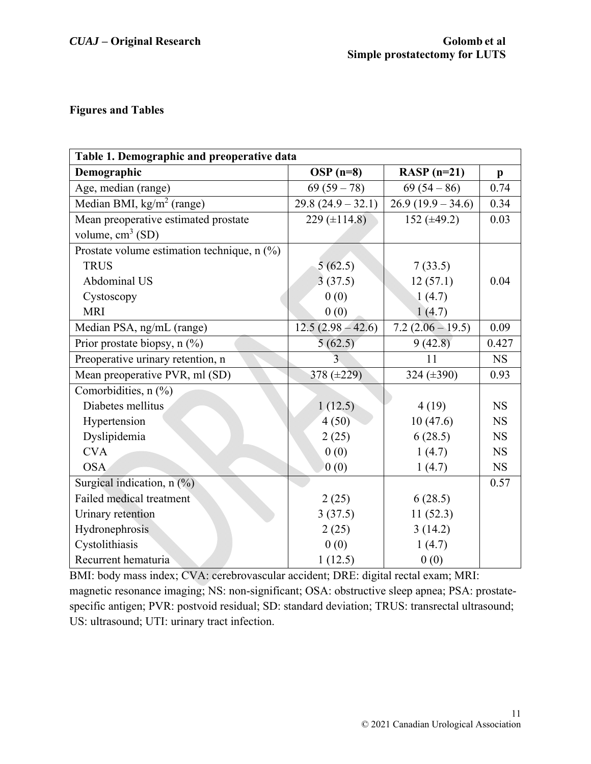## **Figures and Tables**

| Table 1. Demographic and preoperative data  |                     |                     |              |  |
|---------------------------------------------|---------------------|---------------------|--------------|--|
| Demographic                                 | $OSP(n=8)$          | RASP $(n=21)$       | $\mathbf{p}$ |  |
| Age, median (range)                         | $69(59-78)$         | $69(54-86)$         | 0.74         |  |
| Median BMI, $\text{kg/m}^2$ (range)         | $29.8(24.9 - 32.1)$ | $26.9(19.9 - 34.6)$ | 0.34         |  |
| Mean preoperative estimated prostate        | 229 $(\pm 114.8)$   | 152 $(\pm 49.2)$    | 0.03         |  |
| volume, $cm3$ (SD)                          |                     |                     |              |  |
| Prostate volume estimation technique, n (%) |                     |                     |              |  |
| <b>TRUS</b>                                 | 5(62.5)             | 7(33.5)             |              |  |
| Abdominal US                                | 3(37.5)             | 12(57.1)            | 0.04         |  |
| Cystoscopy                                  | 0(0)                | 1(4.7)              |              |  |
| <b>MRI</b>                                  | 0(0)                | 1(4.7)              |              |  |
| Median PSA, ng/mL (range)                   | $12.5(2.98-42.6)$   | $7.2(2.06 - 19.5)$  | 0.09         |  |
| Prior prostate biopsy, $n$ (%)              | 5(62.5)             | 9(42.8)             | 0.427        |  |
| Preoperative urinary retention, n           | 3                   | 11                  | <b>NS</b>    |  |
| Mean preoperative PVR, ml (SD)              | 378 $(\pm 229)$     | 324 $(\pm 390)$     | 0.93         |  |
| Comorbidities, n (%)                        |                     |                     |              |  |
| Diabetes mellitus                           | 1(12.5)             | 4(19)               | <b>NS</b>    |  |
| Hypertension                                | 4(50)               | 10(47.6)            | <b>NS</b>    |  |
| Dyslipidemia                                | 2(25)               | 6(28.5)             | <b>NS</b>    |  |
| <b>CVA</b>                                  | 0(0)                | 1(4.7)              | <b>NS</b>    |  |
| <b>OSA</b>                                  | 0(0)                | 1(4.7)              | <b>NS</b>    |  |
| Surgical indication, n (%)                  |                     |                     | 0.57         |  |
| Failed medical treatment                    | 2(25)               | 6(28.5)             |              |  |
| Urinary retention                           | 3(37.5)             | 11(52.3)            |              |  |
| Hydronephrosis                              | 2(25)               | 3(14.2)             |              |  |
| Cystolithiasis                              | 0(0)                | 1(4.7)              |              |  |
| Recurrent hematuria                         | 1(12.5)             | 0(0)                |              |  |

BMI: body mass index; CVA: cerebrovascular accident; DRE: digital rectal exam; MRI: magnetic resonance imaging; NS: non-significant; OSA: obstructive sleep apnea; PSA: prostatespecific antigen; PVR: postvoid residual; SD: standard deviation; TRUS: transrectal ultrasound; US: ultrasound; UTI: urinary tract infection.